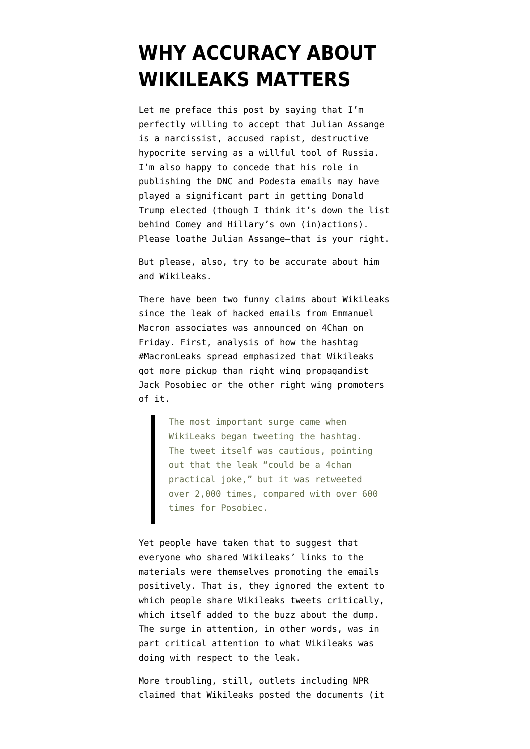## **[WHY ACCURACY ABOUT](https://www.emptywheel.net/2017/05/07/why-accuracy-about-wikileaks-matters/) [WIKILEAKS MATTERS](https://www.emptywheel.net/2017/05/07/why-accuracy-about-wikileaks-matters/)**

Let me preface this post by saying that I'm perfectly willing to accept that Julian Assange is a narcissist, accused rapist, destructive hypocrite serving as a willful tool of Russia. I'm also happy to concede that his role in publishing the DNC and Podesta emails may have played a significant part in getting Donald Trump elected (though I think it's down the list behind Comey and Hillary's own (in)actions). Please loathe Julian Assange–that is your right.

But please, also, try to be accurate about him and Wikileaks.

There have been two funny claims about Wikileaks since the leak of hacked emails from Emmanuel Macron associates was announced on 4Chan on Friday. First, [analysis](https://medium.com/dfrlab/hashtag-campaign-macronleaks-4a3fb870c4e8) of how the hashtag #MacronLeaks spread emphasized that Wikileaks got more pickup than right wing propagandist Jack Posobiec or the other right wing promoters of it.

> The most important surge came when WikiLeaks began tweeting the hashtag. The tweet itself was cautious, pointing out that the leak "could be a 4chan practical joke," but it was retweeted over 2,000 times, compared with over 600 times for Posobiec.

Yet people have taken that to suggest that everyone who shared Wikileaks' links to the materials were themselves promoting the emails positively. That is, they ignored the extent to which people share Wikileaks tweets critically, which itself added to the buzz about the dump. The surge in attention, in other words, was in part critical attention to what Wikileaks was doing with respect to the leak.

More troubling, still, outlets [including NPR](https://twitter.com/NPR/status/860936844942430210) claimed that Wikileaks posted the documents (it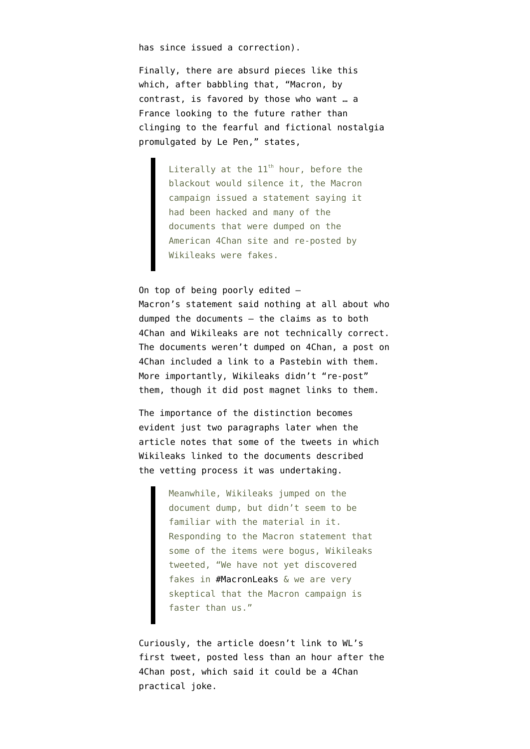has since issued a correction).

Finally, there are absurd pieces like [this](http://www.thedailybeast.com/articles/2017/05/06/did-macron-outsmart-campaign-hackers?source=twitter&via=desktop) which, after babbling that, "Macron, by contrast, is favored by those who want … a France looking to the future rather than clinging to the fearful and fictional nostalgia promulgated by Le Pen," states,

> Literally at the  $11<sup>th</sup>$  hour, before the blackout would silence it, the Macron campaign issued a statement saying it had been hacked and many of the documents that were dumped on the American 4Chan site and re-posted by Wikileaks were fakes.

On top of being poorly edited — Macron's [statement](https://en-marche.fr/article/communique-presse-piratage) said nothing at all about who dumped the documents — the claims as to both 4Chan and Wikileaks are not technically correct. The documents weren't dumped on 4Chan, [a post on](http://boards.4chan.org/pol/thread/124234624) [4Chan](http://boards.4chan.org/pol/thread/124234624) included a link to a Pastebin with them. More importantly, Wikileaks didn't "re-post" them, though it did [post magnet links to them](http://blog.erratasec.com/2017/05/hacker-dumps-magnet-links-and-you.html).

The importance of the distinction becomes evident just two paragraphs later when the article notes that some of the tweets in which Wikileaks linked to the documents described the vetting process it was undertaking.

> Meanwhile, Wikileaks jumped on the document dump, but didn't seem to be familiar with the material in it. Responding to the Macron statement that some of the items were bogus, Wikileaks tweeted, "We have not yet discovered fakes in [#MacronLeaks](https://twitter.com/hashtag/MacronLeaks?src=hash) & we are very skeptical that the Macron campaign is faster than us."

Curiously, the article doesn't link to WL's [first tweet](https://twitter.com/wikileaks/status/860577607670276096), posted less than an hour after the 4Chan post, which said it could be a 4Chan practical joke.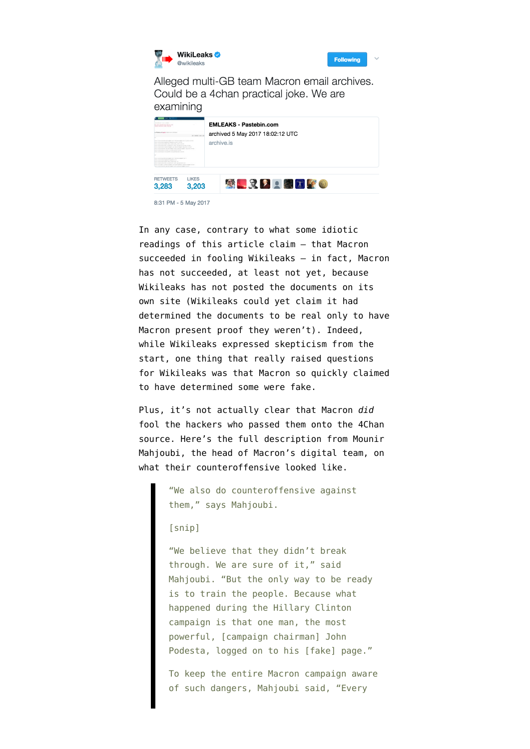



Alleged multi-GB team Macron email archives. Could be a 4chan practical joke. We are examining



8:31 PM - 5 May 2017

In any case, contrary to what some [idiotic](https://twitter.com/fawfulfan/status/861181086445047808) [readings](https://www.emptywheel.net/2017/05/07/why-accuracy-about-wikileaks-matters/) of this article claim — that Macron succeeded in fooling Wikileaks — in fact, Macron has not succeeded, at least not yet, because Wikileaks has not posted the documents on its own site (Wikileaks could yet claim it had determined the documents to be real only to have Macron present proof they weren't). Indeed, while Wikileaks expressed skepticism from the start, one thing that really raised questions for Wikileaks was that Macron so quickly claimed to have determined some were fake.

Plus, it's not actually clear that Macron *did* fool the hackers who passed them onto the 4Chan source. Here's the full [description](http://www.thedailybeast.com/articles/2017/04/25/fighting-back-against-putin-s-hackers) from Mounir Mahjoubi, the head of Macron's digital team, on what their counteroffensive looked like.

> "We also do counteroffensive against them," says Mahjoubi.

## [snip]

"We believe that they didn't break through. We are sure of it," said Mahjoubi. "But the only way to be ready is to train the people. Because what happened during the Hillary Clinton campaign is that one man, the most powerful, [campaign chairman] John Podesta, logged on to his [fake] page."

To keep the entire Macron campaign aware of such dangers, Mahjoubi said, "Every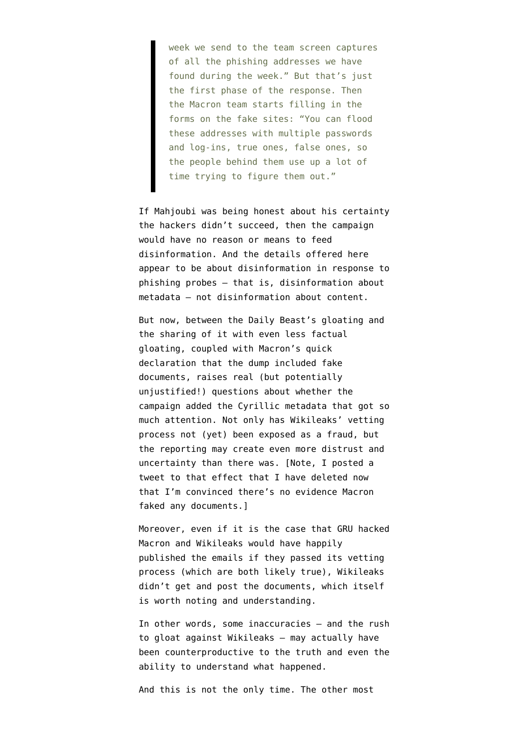week we send to the team screen captures of all the phishing addresses we have found during the week." But that's just the first phase of the response. Then the Macron team starts filling in the forms on the fake sites: "You can flood these addresses with multiple passwords and log-ins, true ones, false ones, so the people behind them use up a lot of time trying to figure them out."

If Mahjoubi was being honest about his certainty the hackers didn't succeed, then the campaign would have no reason or means to feed disinformation. And the details offered here appear to be about disinformation in response to phishing probes — that is, disinformation about metadata — not disinformation about content.

But now, between the Daily Beast's gloating and the sharing of it with even less factual gloating, coupled with Macron's quick declaration that the dump included fake documents, raises real (but potentially unjustified!) questions about whether the campaign added the [Cyrillic metadata that got so](https://www.emptywheel.net/2017/05/06/the-macron-hack-the-metadata-has-always-been-part-of-the-message/#comment-713059) [much attention](https://www.emptywheel.net/2017/05/06/the-macron-hack-the-metadata-has-always-been-part-of-the-message/#comment-713059). Not only has Wikileaks' vetting process not (yet) been exposed as a fraud, but the reporting may create even more distrust and uncertainty than there was. [Note, I posted a tweet to that effect that I have deleted now that I'm convinced there's no evidence Macron faked any documents.]

Moreover, even if it is the case that GRU hacked Macron and Wikileaks would have happily published the emails if they passed its vetting process (which are both likely true), Wikileaks didn't get and post the documents, which itself is worth noting and understanding.

In other words, some inaccuracies — and the rush to gloat against Wikileaks — may actually have been counterproductive to the truth and even the ability to understand what happened.

And this is not the only time. The other most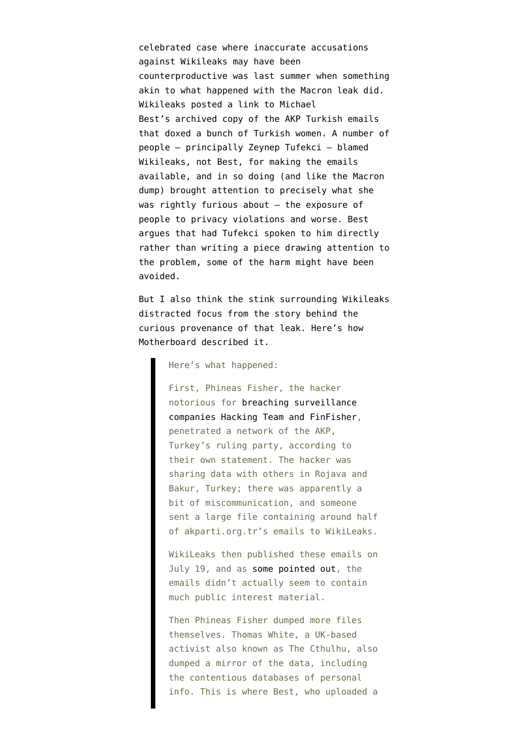celebrated case where inaccurate accusations against Wikileaks may have been counterproductive was last summer when something akin to what happened with the Macron leak did. Wikileaks [posted a link](https://glomardisclosure.com/2016/07/26/the-who-and-how-of-the-akp-hack-dump-and-wikileaks-release/) to Michael Best's archived copy of the AKP Turkish emails that doxed a bunch of Turkish women. A number of people — principally [Zeynep Tufekci](http://www.huffingtonpost.com/zeynep-tufekci/wikileaks-erdogan-emails_b_11158792.html) — blamed Wikileaks, not Best, for making the emails available, and in so doing (and like the Macron dump) brought attention to precisely what she was rightly furious about — the exposure of people to privacy violations and worse. Best [argues](https://glomardisclosure.com/2016/08/08/what-a-hit-piece-against-wikileaks-looks-like/) that had Tufekci spoken to him directly rather than writing a piece drawing attention to the problem, some of the harm might have been avoided.

But I also think the stink surrounding Wikileaks distracted focus from the story behind the curious provenance of that leak. Here's how Motherboard [described](https://motherboard.vice.com/en_us/article/what-went-wrong-with-the-turkey-data-dump) it.

## Here's what happened:

First, Phineas Fisher, the hacker notorious for [breaching surveillance](https://motherboard.vice.com/read/hacker-phineas-fisher-hacking-team-puppet) [companies Hacking Team and FinFisher,](https://motherboard.vice.com/read/hacker-phineas-fisher-hacking-team-puppet) penetrated a network of the AKP, Turkey's ruling party, according to their own statement. The hacker was sharing data with others in Rojava and Bakur, Turkey; there was apparently a bit of miscommunication, and someone sent a large file containing around half of akparti.org.tr's emails to WikiLeaks.

WikiLeaks then published these emails on July 19, and as [some pointed out](http://www.huffingtonpost.com/zeynep-tufekci/wikileaks-erdogan-emails_b_11158792.html), the emails didn't actually seem to contain much public interest material.

Then Phineas Fisher dumped more files themselves. Thomas White, a UK-based activist also known as The Cthulhu, also dumped a mirror of the data, including the contentious databases of personal info. This is where Best, who uploaded a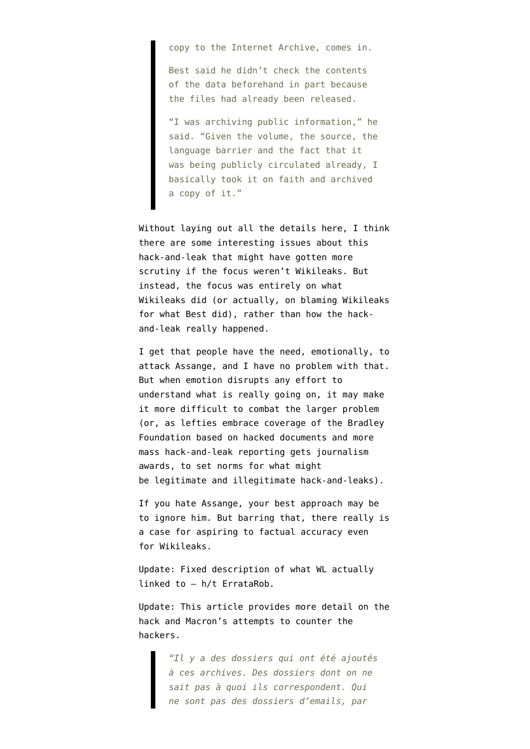copy to the Internet Archive, comes in.

Best said he didn't check the contents of the data beforehand in part because the files had already been released.

"I was archiving public information," he said. "Given the volume, the source, the language barrier and the fact that it was being publicly circulated already, I basically took it on faith and archived a copy of it."

Without laying out all the details here, I think there are some interesting issues about this hack-and-leak that might have gotten more scrutiny if the focus weren't Wikileaks. But instead, the focus was entirely on what Wikileaks did (or actually, on blaming Wikileaks for what Best did), rather than how the hackand-leak really happened.

I get that people have the need, emotionally, to attack Assange, and I have no problem with that. But when emotion disrupts any effort to understand what is really going on, it may make it more difficult to combat the larger problem (or, as lefties [embrace coverage](https://projects.jsonline.com/news/2017/5/5/hacked-records-show-bradley-foundation-taking-wisconsin-model-national.html) of the Bradley Foundation based on hacked documents and more [mass hack-and-leak reporting](https://www.icij.org/blog/2017/04/panama-papers-wins-pulitzer-prize) gets journalism awards, to set norms for what might be legitimate and illegitimate hack-and-leaks).

If you hate Assange, your best approach may be to ignore him. But barring that, there really is a case for aspiring to factual accuracy even for Wikileaks.

Update: Fixed description of what WL actually linked to — h/t [ErrataRob.](https://twitter.com/ErrataRob/status/861347688947867648)

Update: This [article](http://www.francetvinfo.fr/politique/emmanuel-macron/video-mounirmahjoubi-patron-de-lacampagne-numerique-d-emmanuel-macron-le-macronleaks-ca-pue-la-panique_2180759.html) provides more detail on the hack and Macron's attempts to counter the hackers.

> *"Il y a des dossiers qui ont été ajoutés à ces archives. Des dossiers dont on ne sait pas à quoi ils correspondent. Qui ne sont pas des dossiers d'emails, par*